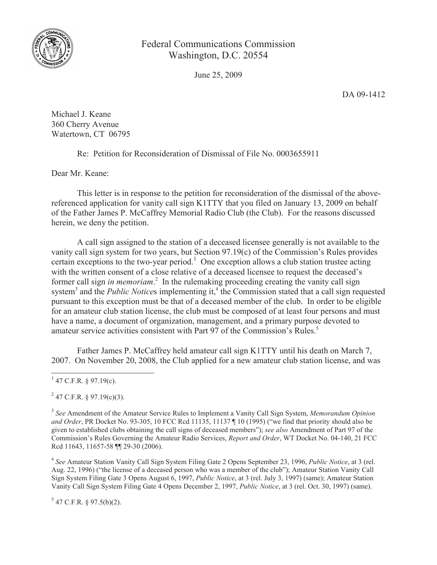

## Federal Communications Commission Washington, D.C. 20554

June 25, 2009

DA 09-1412

Michael J. Keane 360 Cherry Avenue Watertown, CT 06795

Re: Petition for Reconsideration of Dismissal of File No. 0003655911

Dear Mr. Keane:

This letter is in response to the petition for reconsideration of the dismissal of the abovereferenced application for vanity call sign K1TTY that you filed on January 13, 2009 on behalf of the Father James P. McCaffrey Memorial Radio Club (the Club). For the reasons discussed herein, we deny the petition.

A call sign assigned to the station of a deceased licensee generally is not available to the vanity call sign system for two years, but Section 97.19(c) of the Commission's Rules provides certain exceptions to the two-year period.<sup>1</sup> One exception allows a club station trustee acting with the written consent of a close relative of a deceased licensee to request the deceased's former call sign *in memoriam*. 2 In the rulemaking proceeding creating the vanity call sign system<sup>3</sup> and the *Public Notices* implementing it,<sup>4</sup> the Commission stated that a call sign requested pursuant to this exception must be that of a deceased member of the club. In order to be eligible for an amateur club station license, the club must be composed of at least four persons and must have a name, a document of organization, management, and a primary purpose devoted to amateur service activities consistent with Part 97 of the Commission's Rules.<sup>5</sup>

Father James P. McCaffrey held amateur call sign K1TTY until his death on March 7, 2007. On November 20, 2008, the Club applied for a new amateur club station license, and was

 $^{2}$  47 C.F.R. § 97.19(c)(3).

 $5$  47 C.F.R. § 97.5(b)(2).

 $^{1}$  47 C.F.R. § 97.19(c).

<sup>3</sup> *See* Amendment of the Amateur Service Rules to Implement a Vanity Call Sign System, *Memorandum Opinion and Order*, PR Docket No. 93-305, 10 FCC Rcd 11135, 11137 ¶ 10 (1995) ("we find that priority should also be given to established clubs obtaining the call signs of deceased members"); *see also* Amendment of Part 97 of the Commission's Rules Governing the Amateur Radio Services, *Report and Order*, WT Docket No. 04-140, 21 FCC Rcd 11643, 11657-58 ¶¶ 29-30 (2006).

<sup>4</sup> *See* Amateur Station Vanity Call Sign System Filing Gate 2 Opens September 23, 1996, *Public Notice*, at 3 (rel. Aug. 22, 1996) ("the license of a deceased person who was a member of the club"); Amateur Station Vanity Call Sign System Filing Gate 3 Opens August 6, 1997, *Public Notice*, at 3 (rel. July 3, 1997) (same); Amateur Station Vanity Call Sign System Filing Gate 4 Opens December 2, 1997, *Public Notice*, at 3 (rel. Oct. 30, 1997) (same).